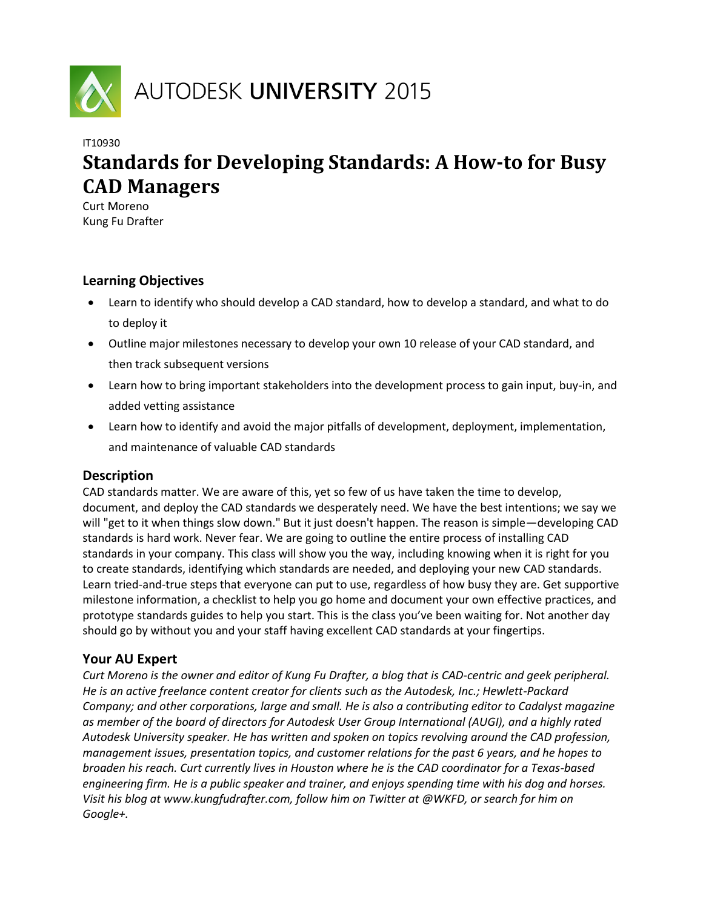

# IT10930 **Standards for Developing Standards: A How-to for Busy CAD Managers**

Curt Moreno Kung Fu Drafter

# **Learning Objectives**

- Learn to identify who should develop a CAD standard, how to develop a standard, and what to do to deploy it
- Outline major milestones necessary to develop your own 10 release of your CAD standard, and then track subsequent versions
- Learn how to bring important stakeholders into the development process to gain input, buy-in, and added vetting assistance
- Learn how to identify and avoid the major pitfalls of development, deployment, implementation, and maintenance of valuable CAD standards

# **Description**

CAD standards matter. We are aware of this, yet so few of us have taken the time to develop, document, and deploy the CAD standards we desperately need. We have the best intentions; we say we will "get to it when things slow down." But it just doesn't happen. The reason is simple—developing CAD standards is hard work. Never fear. We are going to outline the entire process of installing CAD standards in your company. This class will show you the way, including knowing when it is right for you to create standards, identifying which standards are needed, and deploying your new CAD standards. Learn tried-and-true steps that everyone can put to use, regardless of how busy they are. Get supportive milestone information, a checklist to help you go home and document your own effective practices, and prototype standards guides to help you start. This is the class you've been waiting for. Not another day should go by without you and your staff having excellent CAD standards at your fingertips.

# **Your AU Expert**

*Curt Moreno is the owner and editor of Kung Fu Drafter, a blog that is CAD-centric and geek peripheral. He is an active freelance content creator for clients such as the Autodesk, Inc.; Hewlett-Packard Company; and other corporations, large and small. He is also a contributing editor to Cadalyst magazine as member of the board of directors for Autodesk User Group International (AUGI), and a highly rated Autodesk University speaker. He has written and spoken on topics revolving around the CAD profession, management issues, presentation topics, and customer relations for the past 6 years, and he hopes to broaden his reach. Curt currently lives in Houston where he is the CAD coordinator for a Texas-based engineering firm. He is a public speaker and trainer, and enjoys spending time with his dog and horses. Visit his blog at www.kungfudrafter.com, follow him on Twitter at @WKFD, or search for him on Google+.*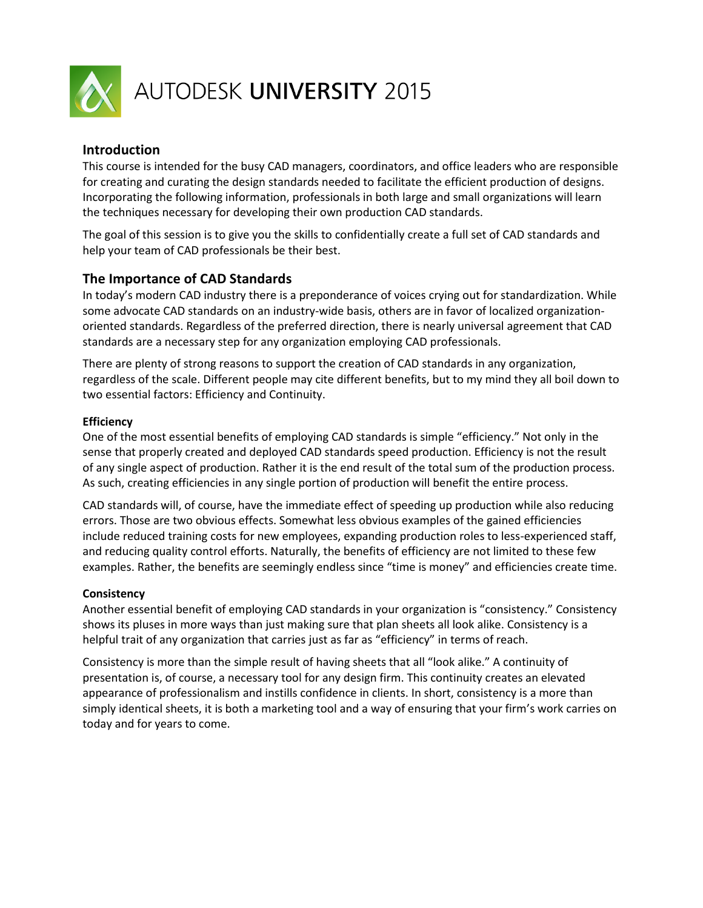

# AUTODESK UNIVERSITY 2015

#### **Introduction**

This course is intended for the busy CAD managers, coordinators, and office leaders who are responsible for creating and curating the design standards needed to facilitate the efficient production of designs. Incorporating the following information, professionals in both large and small organizations will learn the techniques necessary for developing their own production CAD standards.

The goal of this session is to give you the skills to confidentially create a full set of CAD standards and help your team of CAD professionals be their best.

# **The Importance of CAD Standards**

In today's modern CAD industry there is a preponderance of voices crying out for standardization. While some advocate CAD standards on an industry-wide basis, others are in favor of localized organizationoriented standards. Regardless of the preferred direction, there is nearly universal agreement that CAD standards are a necessary step for any organization employing CAD professionals.

There are plenty of strong reasons to support the creation of CAD standards in any organization, regardless of the scale. Different people may cite different benefits, but to my mind they all boil down to two essential factors: Efficiency and Continuity.

#### **Efficiency**

One of the most essential benefits of employing CAD standards is simple "efficiency." Not only in the sense that properly created and deployed CAD standards speed production. Efficiency is not the result of any single aspect of production. Rather it is the end result of the total sum of the production process. As such, creating efficiencies in any single portion of production will benefit the entire process.

CAD standards will, of course, have the immediate effect of speeding up production while also reducing errors. Those are two obvious effects. Somewhat less obvious examples of the gained efficiencies include reduced training costs for new employees, expanding production roles to less-experienced staff, and reducing quality control efforts. Naturally, the benefits of efficiency are not limited to these few examples. Rather, the benefits are seemingly endless since "time is money" and efficiencies create time.

#### **Consistency**

Another essential benefit of employing CAD standards in your organization is "consistency." Consistency shows its pluses in more ways than just making sure that plan sheets all look alike. Consistency is a helpful trait of any organization that carries just as far as "efficiency" in terms of reach.

Consistency is more than the simple result of having sheets that all "look alike." A continuity of presentation is, of course, a necessary tool for any design firm. This continuity creates an elevated appearance of professionalism and instills confidence in clients. In short, consistency is a more than simply identical sheets, it is both a marketing tool and a way of ensuring that your firm's work carries on today and for years to come.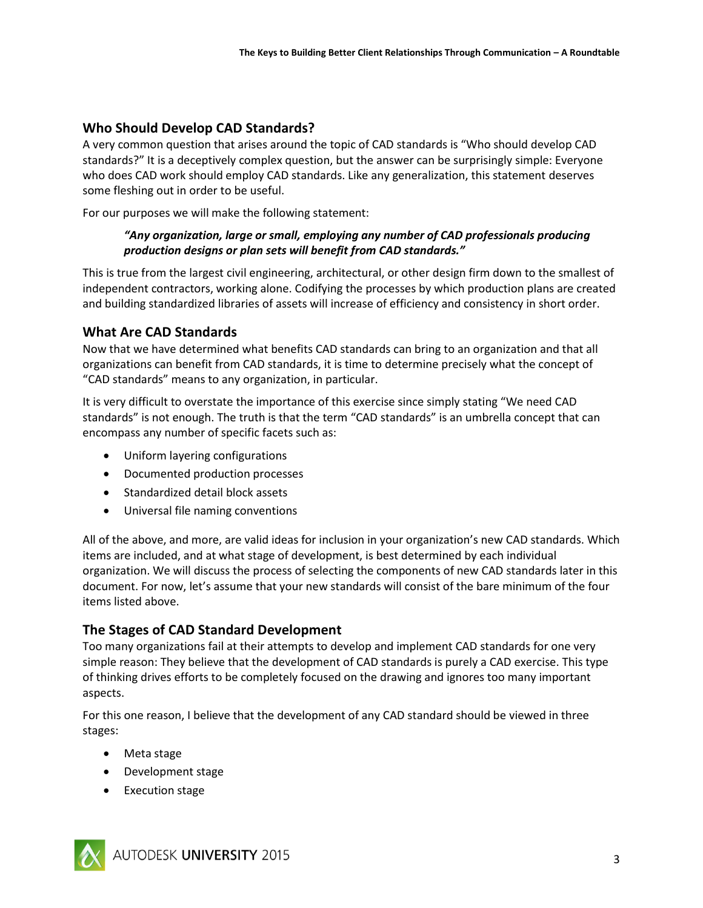# **Who Should Develop CAD Standards?**

A very common question that arises around the topic of CAD standards is "Who should develop CAD standards?" It is a deceptively complex question, but the answer can be surprisingly simple: Everyone who does CAD work should employ CAD standards. Like any generalization, this statement deserves some fleshing out in order to be useful.

For our purposes we will make the following statement:

#### *"Any organization, large or small, employing any number of CAD professionals producing production designs or plan sets will benefit from CAD standards."*

This is true from the largest civil engineering, architectural, or other design firm down to the smallest of independent contractors, working alone. Codifying the processes by which production plans are created and building standardized libraries of assets will increase of efficiency and consistency in short order.

# **What Are CAD Standards**

Now that we have determined what benefits CAD standards can bring to an organization and that all organizations can benefit from CAD standards, it is time to determine precisely what the concept of "CAD standards" means to any organization, in particular.

It is very difficult to overstate the importance of this exercise since simply stating "We need CAD standards" is not enough. The truth is that the term "CAD standards" is an umbrella concept that can encompass any number of specific facets such as:

- Uniform layering configurations
- Documented production processes
- Standardized detail block assets
- Universal file naming conventions

All of the above, and more, are valid ideas for inclusion in your organization's new CAD standards. Which items are included, and at what stage of development, is best determined by each individual organization. We will discuss the process of selecting the components of new CAD standards later in this document. For now, let's assume that your new standards will consist of the bare minimum of the four items listed above.

# **The Stages of CAD Standard Development**

Too many organizations fail at their attempts to develop and implement CAD standards for one very simple reason: They believe that the development of CAD standards is purely a CAD exercise. This type of thinking drives efforts to be completely focused on the drawing and ignores too many important aspects.

For this one reason, I believe that the development of any CAD standard should be viewed in three stages:

- Meta stage
- Development stage
- Execution stage

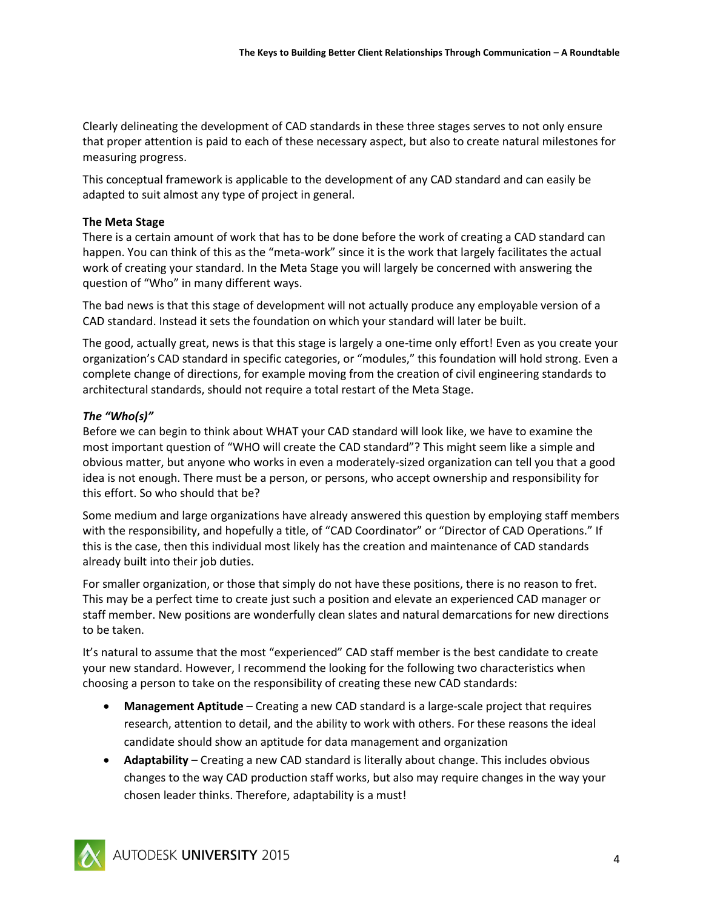Clearly delineating the development of CAD standards in these three stages serves to not only ensure that proper attention is paid to each of these necessary aspect, but also to create natural milestones for measuring progress.

This conceptual framework is applicable to the development of any CAD standard and can easily be adapted to suit almost any type of project in general.

#### **The Meta Stage**

There is a certain amount of work that has to be done before the work of creating a CAD standard can happen. You can think of this as the "meta-work" since it is the work that largely facilitates the actual work of creating your standard. In the Meta Stage you will largely be concerned with answering the question of "Who" in many different ways.

The bad news is that this stage of development will not actually produce any employable version of a CAD standard. Instead it sets the foundation on which your standard will later be built.

The good, actually great, news is that this stage is largely a one-time only effort! Even as you create your organization's CAD standard in specific categories, or "modules," this foundation will hold strong. Even a complete change of directions, for example moving from the creation of civil engineering standards to architectural standards, should not require a total restart of the Meta Stage.

#### *The "Who(s)"*

Before we can begin to think about WHAT your CAD standard will look like, we have to examine the most important question of "WHO will create the CAD standard"? This might seem like a simple and obvious matter, but anyone who works in even a moderately-sized organization can tell you that a good idea is not enough. There must be a person, or persons, who accept ownership and responsibility for this effort. So who should that be?

Some medium and large organizations have already answered this question by employing staff members with the responsibility, and hopefully a title, of "CAD Coordinator" or "Director of CAD Operations." If this is the case, then this individual most likely has the creation and maintenance of CAD standards already built into their job duties.

For smaller organization, or those that simply do not have these positions, there is no reason to fret. This may be a perfect time to create just such a position and elevate an experienced CAD manager or staff member. New positions are wonderfully clean slates and natural demarcations for new directions to be taken.

It's natural to assume that the most "experienced" CAD staff member is the best candidate to create your new standard. However, I recommend the looking for the following two characteristics when choosing a person to take on the responsibility of creating these new CAD standards:

- **Management Aptitude** Creating a new CAD standard is a large-scale project that requires research, attention to detail, and the ability to work with others. For these reasons the ideal candidate should show an aptitude for data management and organization
- **Adaptability** Creating a new CAD standard is literally about change. This includes obvious changes to the way CAD production staff works, but also may require changes in the way your chosen leader thinks. Therefore, adaptability is a must!

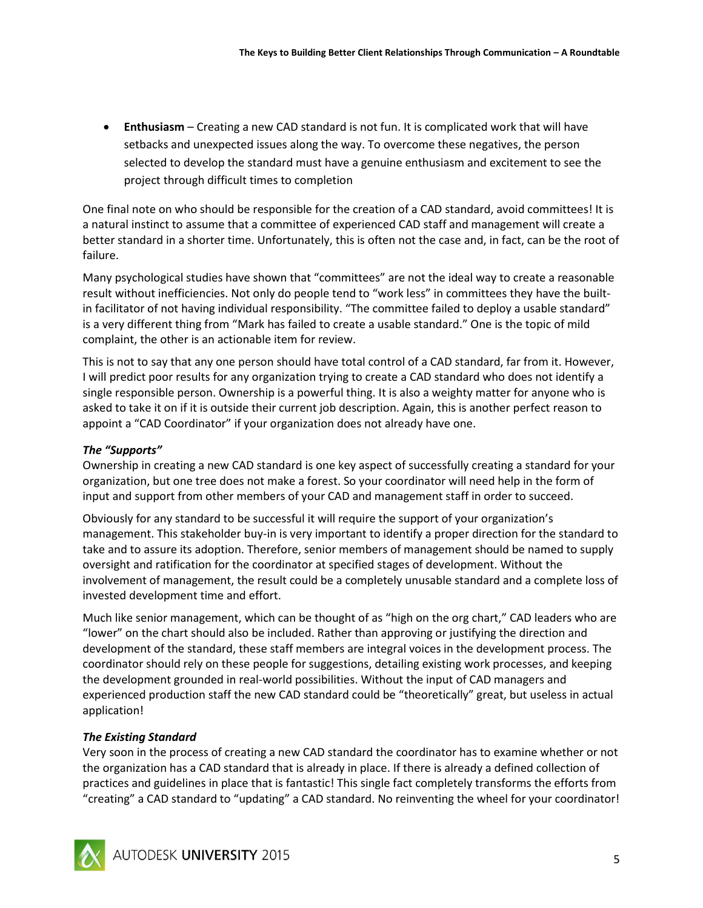**Enthusiasm** – Creating a new CAD standard is not fun. It is complicated work that will have setbacks and unexpected issues along the way. To overcome these negatives, the person selected to develop the standard must have a genuine enthusiasm and excitement to see the project through difficult times to completion

One final note on who should be responsible for the creation of a CAD standard, avoid committees! It is a natural instinct to assume that a committee of experienced CAD staff and management will create a better standard in a shorter time. Unfortunately, this is often not the case and, in fact, can be the root of failure.

Many psychological studies have shown that "committees" are not the ideal way to create a reasonable result without inefficiencies. Not only do people tend to "work less" in committees they have the builtin facilitator of not having individual responsibility. "The committee failed to deploy a usable standard" is a very different thing from "Mark has failed to create a usable standard." One is the topic of mild complaint, the other is an actionable item for review.

This is not to say that any one person should have total control of a CAD standard, far from it. However, I will predict poor results for any organization trying to create a CAD standard who does not identify a single responsible person. Ownership is a powerful thing. It is also a weighty matter for anyone who is asked to take it on if it is outside their current job description. Again, this is another perfect reason to appoint a "CAD Coordinator" if your organization does not already have one.

#### *The "Supports"*

Ownership in creating a new CAD standard is one key aspect of successfully creating a standard for your organization, but one tree does not make a forest. So your coordinator will need help in the form of input and support from other members of your CAD and management staff in order to succeed.

Obviously for any standard to be successful it will require the support of your organization's management. This stakeholder buy-in is very important to identify a proper direction for the standard to take and to assure its adoption. Therefore, senior members of management should be named to supply oversight and ratification for the coordinator at specified stages of development. Without the involvement of management, the result could be a completely unusable standard and a complete loss of invested development time and effort.

Much like senior management, which can be thought of as "high on the org chart," CAD leaders who are "lower" on the chart should also be included. Rather than approving or justifying the direction and development of the standard, these staff members are integral voices in the development process. The coordinator should rely on these people for suggestions, detailing existing work processes, and keeping the development grounded in real-world possibilities. Without the input of CAD managers and experienced production staff the new CAD standard could be "theoretically" great, but useless in actual application!

#### *The Existing Standard*

Very soon in the process of creating a new CAD standard the coordinator has to examine whether or not the organization has a CAD standard that is already in place. If there is already a defined collection of practices and guidelines in place that is fantastic! This single fact completely transforms the efforts from "creating" a CAD standard to "updating" a CAD standard. No reinventing the wheel for your coordinator!

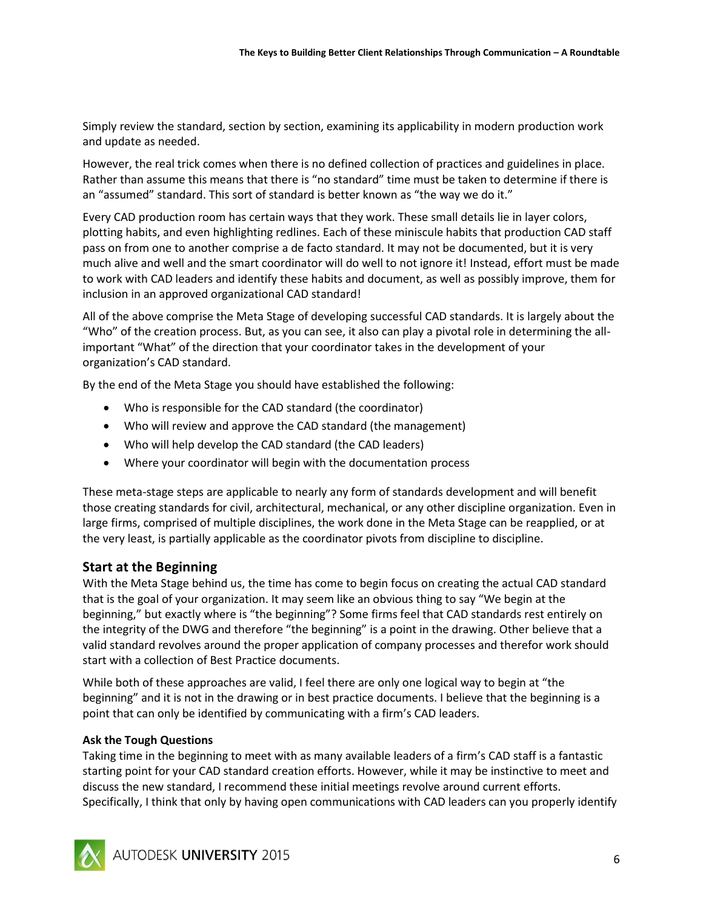Simply review the standard, section by section, examining its applicability in modern production work and update as needed.

However, the real trick comes when there is no defined collection of practices and guidelines in place. Rather than assume this means that there is "no standard" time must be taken to determine if there is an "assumed" standard. This sort of standard is better known as "the way we do it."

Every CAD production room has certain ways that they work. These small details lie in layer colors, plotting habits, and even highlighting redlines. Each of these miniscule habits that production CAD staff pass on from one to another comprise a de facto standard. It may not be documented, but it is very much alive and well and the smart coordinator will do well to not ignore it! Instead, effort must be made to work with CAD leaders and identify these habits and document, as well as possibly improve, them for inclusion in an approved organizational CAD standard!

All of the above comprise the Meta Stage of developing successful CAD standards. It is largely about the "Who" of the creation process. But, as you can see, it also can play a pivotal role in determining the allimportant "What" of the direction that your coordinator takes in the development of your organization's CAD standard.

By the end of the Meta Stage you should have established the following:

- Who is responsible for the CAD standard (the coordinator)
- Who will review and approve the CAD standard (the management)
- Who will help develop the CAD standard (the CAD leaders)
- Where your coordinator will begin with the documentation process

These meta-stage steps are applicable to nearly any form of standards development and will benefit those creating standards for civil, architectural, mechanical, or any other discipline organization. Even in large firms, comprised of multiple disciplines, the work done in the Meta Stage can be reapplied, or at the very least, is partially applicable as the coordinator pivots from discipline to discipline.

# **Start at the Beginning**

With the Meta Stage behind us, the time has come to begin focus on creating the actual CAD standard that is the goal of your organization. It may seem like an obvious thing to say "We begin at the beginning," but exactly where is "the beginning"? Some firms feel that CAD standards rest entirely on the integrity of the DWG and therefore "the beginning" is a point in the drawing. Other believe that a valid standard revolves around the proper application of company processes and therefor work should start with a collection of Best Practice documents.

While both of these approaches are valid, I feel there are only one logical way to begin at "the beginning" and it is not in the drawing or in best practice documents. I believe that the beginning is a point that can only be identified by communicating with a firm's CAD leaders.

#### **Ask the Tough Questions**

Taking time in the beginning to meet with as many available leaders of a firm's CAD staff is a fantastic starting point for your CAD standard creation efforts. However, while it may be instinctive to meet and discuss the new standard, I recommend these initial meetings revolve around current efforts. Specifically, I think that only by having open communications with CAD leaders can you properly identify

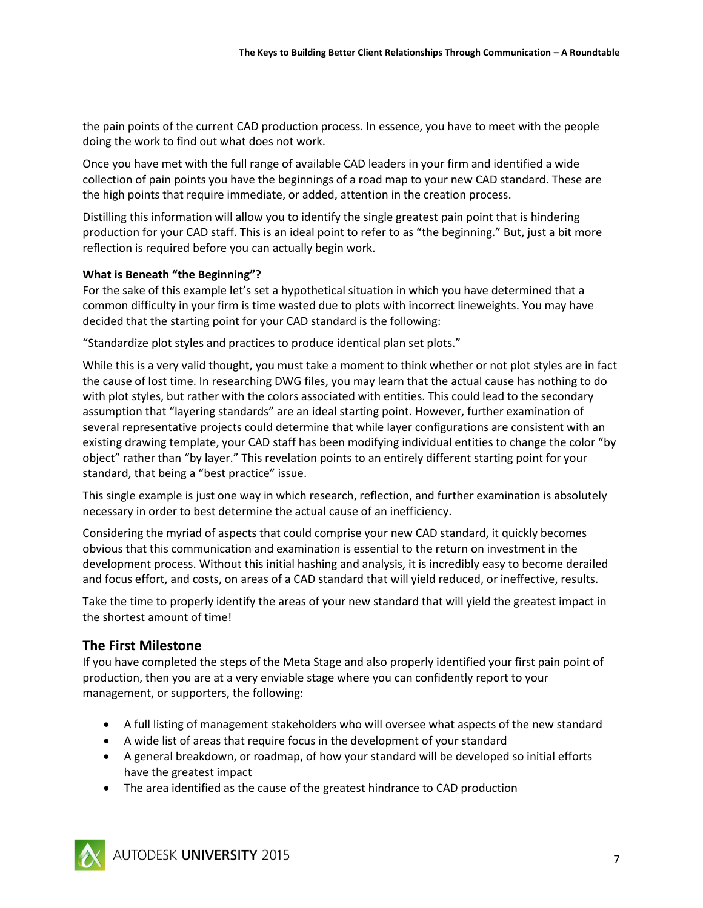the pain points of the current CAD production process. In essence, you have to meet with the people doing the work to find out what does not work.

Once you have met with the full range of available CAD leaders in your firm and identified a wide collection of pain points you have the beginnings of a road map to your new CAD standard. These are the high points that require immediate, or added, attention in the creation process.

Distilling this information will allow you to identify the single greatest pain point that is hindering production for your CAD staff. This is an ideal point to refer to as "the beginning." But, just a bit more reflection is required before you can actually begin work.

#### **What is Beneath "the Beginning"?**

For the sake of this example let's set a hypothetical situation in which you have determined that a common difficulty in your firm is time wasted due to plots with incorrect lineweights. You may have decided that the starting point for your CAD standard is the following:

"Standardize plot styles and practices to produce identical plan set plots."

While this is a very valid thought, you must take a moment to think whether or not plot styles are in fact the cause of lost time. In researching DWG files, you may learn that the actual cause has nothing to do with plot styles, but rather with the colors associated with entities. This could lead to the secondary assumption that "layering standards" are an ideal starting point. However, further examination of several representative projects could determine that while layer configurations are consistent with an existing drawing template, your CAD staff has been modifying individual entities to change the color "by object" rather than "by layer." This revelation points to an entirely different starting point for your standard, that being a "best practice" issue.

This single example is just one way in which research, reflection, and further examination is absolutely necessary in order to best determine the actual cause of an inefficiency.

Considering the myriad of aspects that could comprise your new CAD standard, it quickly becomes obvious that this communication and examination is essential to the return on investment in the development process. Without this initial hashing and analysis, it is incredibly easy to become derailed and focus effort, and costs, on areas of a CAD standard that will yield reduced, or ineffective, results.

Take the time to properly identify the areas of your new standard that will yield the greatest impact in the shortest amount of time!

# **The First Milestone**

If you have completed the steps of the Meta Stage and also properly identified your first pain point of production, then you are at a very enviable stage where you can confidently report to your management, or supporters, the following:

- A full listing of management stakeholders who will oversee what aspects of the new standard
- A wide list of areas that require focus in the development of your standard
- A general breakdown, or roadmap, of how your standard will be developed so initial efforts have the greatest impact
- The area identified as the cause of the greatest hindrance to CAD production

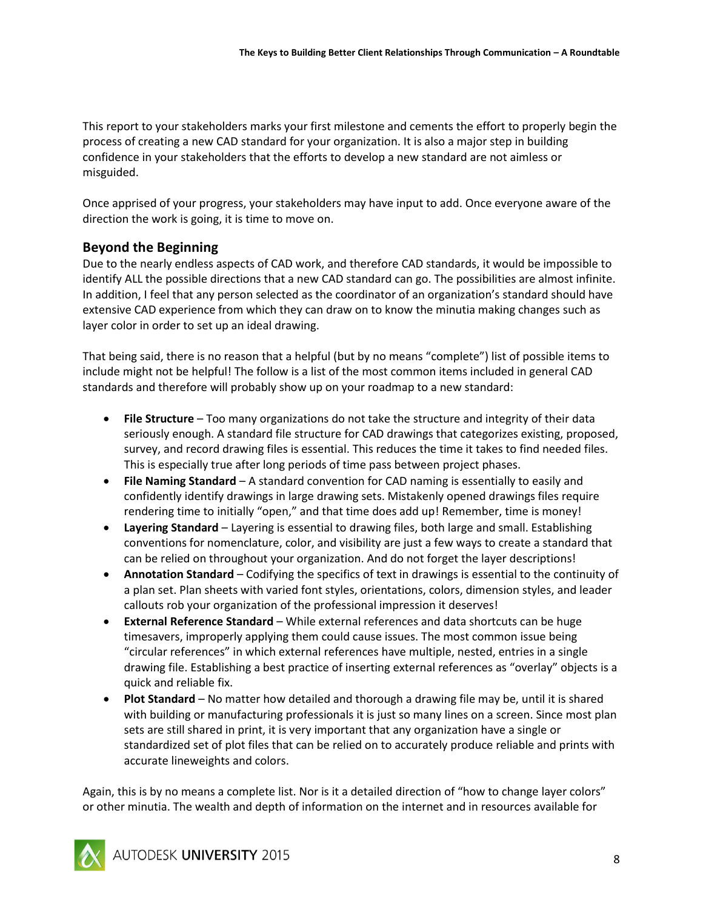This report to your stakeholders marks your first milestone and cements the effort to properly begin the process of creating a new CAD standard for your organization. It is also a major step in building confidence in your stakeholders that the efforts to develop a new standard are not aimless or misguided.

Once apprised of your progress, your stakeholders may have input to add. Once everyone aware of the direction the work is going, it is time to move on.

# **Beyond the Beginning**

Due to the nearly endless aspects of CAD work, and therefore CAD standards, it would be impossible to identify ALL the possible directions that a new CAD standard can go. The possibilities are almost infinite. In addition, I feel that any person selected as the coordinator of an organization's standard should have extensive CAD experience from which they can draw on to know the minutia making changes such as layer color in order to set up an ideal drawing.

That being said, there is no reason that a helpful (but by no means "complete") list of possible items to include might not be helpful! The follow is a list of the most common items included in general CAD standards and therefore will probably show up on your roadmap to a new standard:

- **File Structure** Too many organizations do not take the structure and integrity of their data seriously enough. A standard file structure for CAD drawings that categorizes existing, proposed, survey, and record drawing files is essential. This reduces the time it takes to find needed files. This is especially true after long periods of time pass between project phases.
- **File Naming Standard** A standard convention for CAD naming is essentially to easily and confidently identify drawings in large drawing sets. Mistakenly opened drawings files require rendering time to initially "open," and that time does add up! Remember, time is money!
- **Layering Standard** Layering is essential to drawing files, both large and small. Establishing conventions for nomenclature, color, and visibility are just a few ways to create a standard that can be relied on throughout your organization. And do not forget the layer descriptions!
- **Annotation Standard** Codifying the specifics of text in drawings is essential to the continuity of a plan set. Plan sheets with varied font styles, orientations, colors, dimension styles, and leader callouts rob your organization of the professional impression it deserves!
- **External Reference Standard** While external references and data shortcuts can be huge timesavers, improperly applying them could cause issues. The most common issue being "circular references" in which external references have multiple, nested, entries in a single drawing file. Establishing a best practice of inserting external references as "overlay" objects is a quick and reliable fix.
- **Plot Standard** No matter how detailed and thorough a drawing file may be, until it is shared with building or manufacturing professionals it is just so many lines on a screen. Since most plan sets are still shared in print, it is very important that any organization have a single or standardized set of plot files that can be relied on to accurately produce reliable and prints with accurate lineweights and colors.

Again, this is by no means a complete list. Nor is it a detailed direction of "how to change layer colors" or other minutia. The wealth and depth of information on the internet and in resources available for

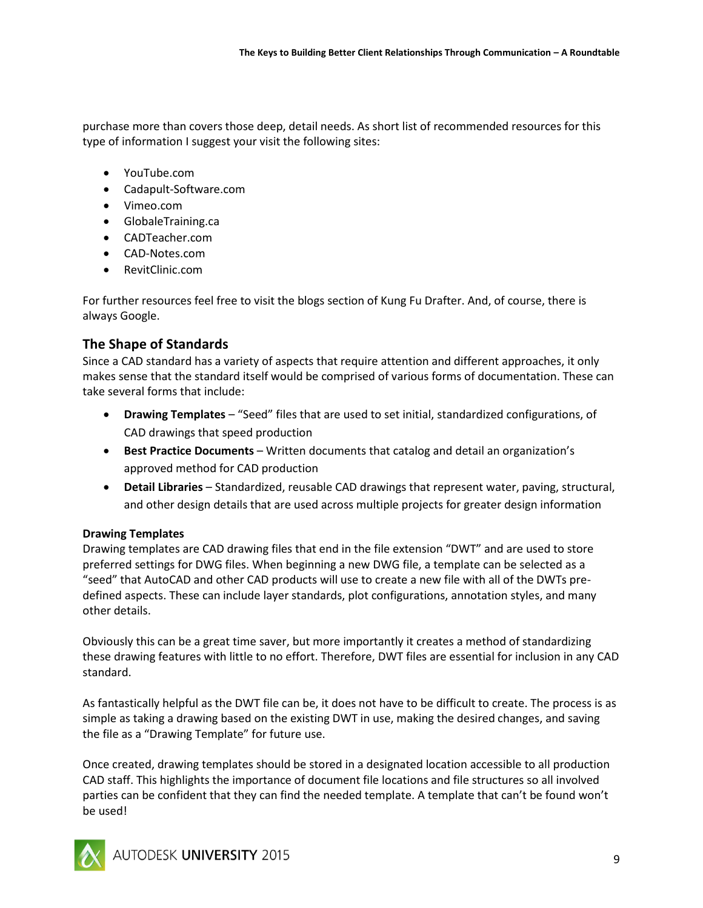purchase more than covers those deep, detail needs. As short list of recommended resources for this type of information I suggest your visit the following sites:

- YouTube.com
- Cadapult-Software.com
- Vimeo.com
- GlobaleTraining.ca
- CADTeacher.com
- CAD-Notes.com
- RevitClinic.com

For further resources feel free to visit the blogs section of Kung Fu Drafter. And, of course, there is always Google.

#### **The Shape of Standards**

Since a CAD standard has a variety of aspects that require attention and different approaches, it only makes sense that the standard itself would be comprised of various forms of documentation. These can take several forms that include:

- **Drawing Templates** "Seed" files that are used to set initial, standardized configurations, of CAD drawings that speed production
- **Best Practice Documents** Written documents that catalog and detail an organization's approved method for CAD production
- **Detail Libraries** Standardized, reusable CAD drawings that represent water, paving, structural, and other design details that are used across multiple projects for greater design information

#### **Drawing Templates**

Drawing templates are CAD drawing files that end in the file extension "DWT" and are used to store preferred settings for DWG files. When beginning a new DWG file, a template can be selected as a "seed" that AutoCAD and other CAD products will use to create a new file with all of the DWTs predefined aspects. These can include layer standards, plot configurations, annotation styles, and many other details.

Obviously this can be a great time saver, but more importantly it creates a method of standardizing these drawing features with little to no effort. Therefore, DWT files are essential for inclusion in any CAD standard.

As fantastically helpful as the DWT file can be, it does not have to be difficult to create. The process is as simple as taking a drawing based on the existing DWT in use, making the desired changes, and saving the file as a "Drawing Template" for future use.

Once created, drawing templates should be stored in a designated location accessible to all production CAD staff. This highlights the importance of document file locations and file structures so all involved parties can be confident that they can find the needed template. A template that can't be found won't be used!

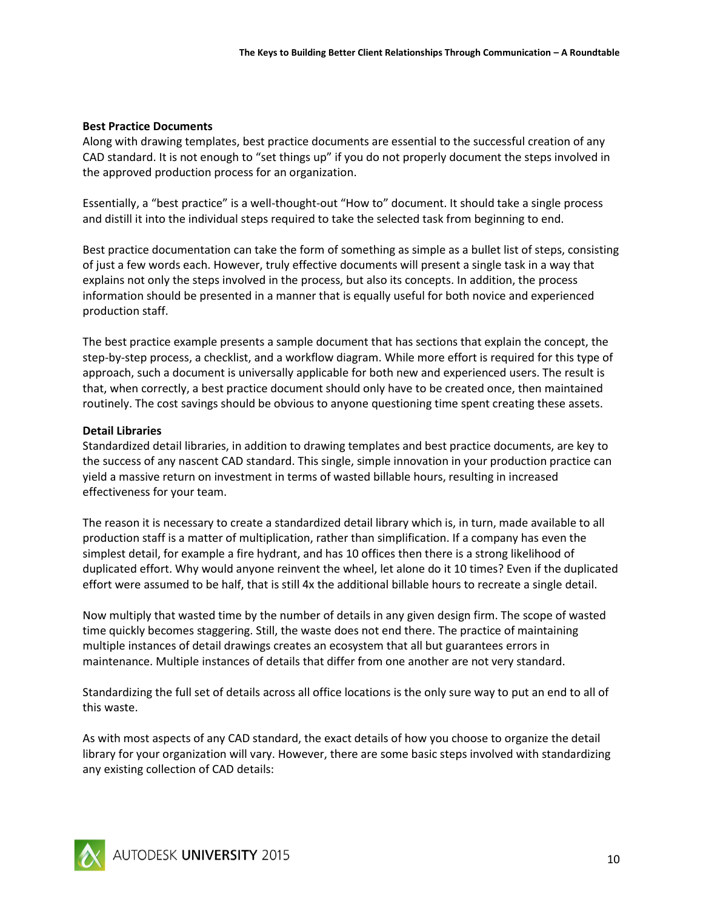#### **Best Practice Documents**

Along with drawing templates, best practice documents are essential to the successful creation of any CAD standard. It is not enough to "set things up" if you do not properly document the steps involved in the approved production process for an organization.

Essentially, a "best practice" is a well-thought-out "How to" document. It should take a single process and distill it into the individual steps required to take the selected task from beginning to end.

Best practice documentation can take the form of something as simple as a bullet list of steps, consisting of just a few words each. However, truly effective documents will present a single task in a way that explains not only the steps involved in the process, but also its concepts. In addition, the process information should be presented in a manner that is equally useful for both novice and experienced production staff.

The best practice example presents a sample document that has sections that explain the concept, the step-by-step process, a checklist, and a workflow diagram. While more effort is required for this type of approach, such a document is universally applicable for both new and experienced users. The result is that, when correctly, a best practice document should only have to be created once, then maintained routinely. The cost savings should be obvious to anyone questioning time spent creating these assets.

#### **Detail Libraries**

Standardized detail libraries, in addition to drawing templates and best practice documents, are key to the success of any nascent CAD standard. This single, simple innovation in your production practice can yield a massive return on investment in terms of wasted billable hours, resulting in increased effectiveness for your team.

The reason it is necessary to create a standardized detail library which is, in turn, made available to all production staff is a matter of multiplication, rather than simplification. If a company has even the simplest detail, for example a fire hydrant, and has 10 offices then there is a strong likelihood of duplicated effort. Why would anyone reinvent the wheel, let alone do it 10 times? Even if the duplicated effort were assumed to be half, that is still 4x the additional billable hours to recreate a single detail.

Now multiply that wasted time by the number of details in any given design firm. The scope of wasted time quickly becomes staggering. Still, the waste does not end there. The practice of maintaining multiple instances of detail drawings creates an ecosystem that all but guarantees errors in maintenance. Multiple instances of details that differ from one another are not very standard.

Standardizing the full set of details across all office locations is the only sure way to put an end to all of this waste.

As with most aspects of any CAD standard, the exact details of how you choose to organize the detail library for your organization will vary. However, there are some basic steps involved with standardizing any existing collection of CAD details:

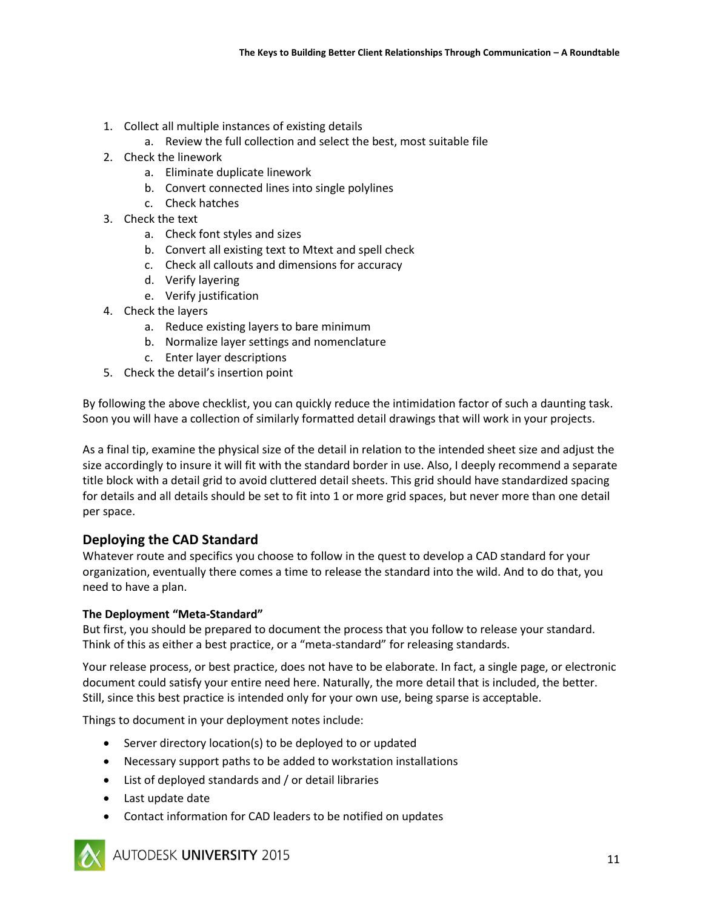- 1. Collect all multiple instances of existing details
	- a. Review the full collection and select the best, most suitable file
- 2. Check the linework
	- a. Eliminate duplicate linework
	- b. Convert connected lines into single polylines
	- c. Check hatches
- 3. Check the text
	- a. Check font styles and sizes
	- b. Convert all existing text to Mtext and spell check
	- c. Check all callouts and dimensions for accuracy
	- d. Verify layering
	- e. Verify justification
- 4. Check the layers
	- a. Reduce existing layers to bare minimum
	- b. Normalize layer settings and nomenclature
	- c. Enter layer descriptions
- 5. Check the detail's insertion point

By following the above checklist, you can quickly reduce the intimidation factor of such a daunting task. Soon you will have a collection of similarly formatted detail drawings that will work in your projects.

As a final tip, examine the physical size of the detail in relation to the intended sheet size and adjust the size accordingly to insure it will fit with the standard border in use. Also, I deeply recommend a separate title block with a detail grid to avoid cluttered detail sheets. This grid should have standardized spacing for details and all details should be set to fit into 1 or more grid spaces, but never more than one detail per space.

# **Deploying the CAD Standard**

Whatever route and specifics you choose to follow in the quest to develop a CAD standard for your organization, eventually there comes a time to release the standard into the wild. And to do that, you need to have a plan.

#### **The Deployment "Meta-Standard"**

But first, you should be prepared to document the process that you follow to release your standard. Think of this as either a best practice, or a "meta-standard" for releasing standards.

Your release process, or best practice, does not have to be elaborate. In fact, a single page, or electronic document could satisfy your entire need here. Naturally, the more detail that is included, the better. Still, since this best practice is intended only for your own use, being sparse is acceptable.

Things to document in your deployment notes include:

- Server directory location(s) to be deployed to or updated
- Necessary support paths to be added to workstation installations
- List of deployed standards and / or detail libraries
- Last update date
- Contact information for CAD leaders to be notified on updates



AUTODESK UNIVERSITY 2015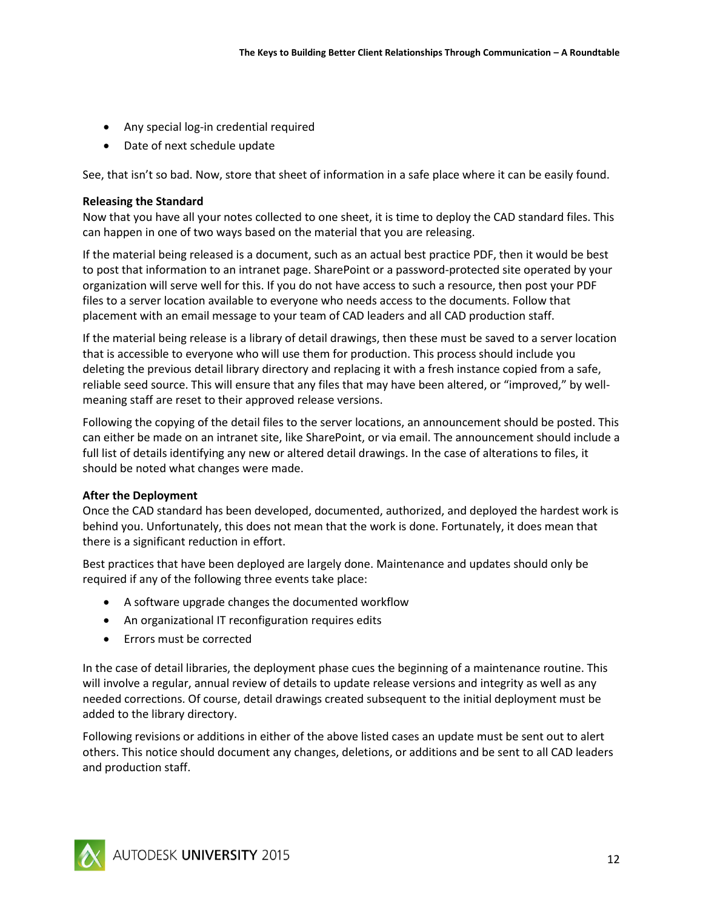- Any special log-in credential required
- Date of next schedule update

See, that isn't so bad. Now, store that sheet of information in a safe place where it can be easily found.

#### **Releasing the Standard**

Now that you have all your notes collected to one sheet, it is time to deploy the CAD standard files. This can happen in one of two ways based on the material that you are releasing.

If the material being released is a document, such as an actual best practice PDF, then it would be best to post that information to an intranet page. SharePoint or a password-protected site operated by your organization will serve well for this. If you do not have access to such a resource, then post your PDF files to a server location available to everyone who needs access to the documents. Follow that placement with an email message to your team of CAD leaders and all CAD production staff.

If the material being release is a library of detail drawings, then these must be saved to a server location that is accessible to everyone who will use them for production. This process should include you deleting the previous detail library directory and replacing it with a fresh instance copied from a safe, reliable seed source. This will ensure that any files that may have been altered, or "improved," by wellmeaning staff are reset to their approved release versions.

Following the copying of the detail files to the server locations, an announcement should be posted. This can either be made on an intranet site, like SharePoint, or via email. The announcement should include a full list of details identifying any new or altered detail drawings. In the case of alterations to files, it should be noted what changes were made.

#### **After the Deployment**

Once the CAD standard has been developed, documented, authorized, and deployed the hardest work is behind you. Unfortunately, this does not mean that the work is done. Fortunately, it does mean that there is a significant reduction in effort.

Best practices that have been deployed are largely done. Maintenance and updates should only be required if any of the following three events take place:

- A software upgrade changes the documented workflow
- An organizational IT reconfiguration requires edits
- Errors must be corrected

In the case of detail libraries, the deployment phase cues the beginning of a maintenance routine. This will involve a regular, annual review of details to update release versions and integrity as well as any needed corrections. Of course, detail drawings created subsequent to the initial deployment must be added to the library directory.

Following revisions or additions in either of the above listed cases an update must be sent out to alert others. This notice should document any changes, deletions, or additions and be sent to all CAD leaders and production staff.

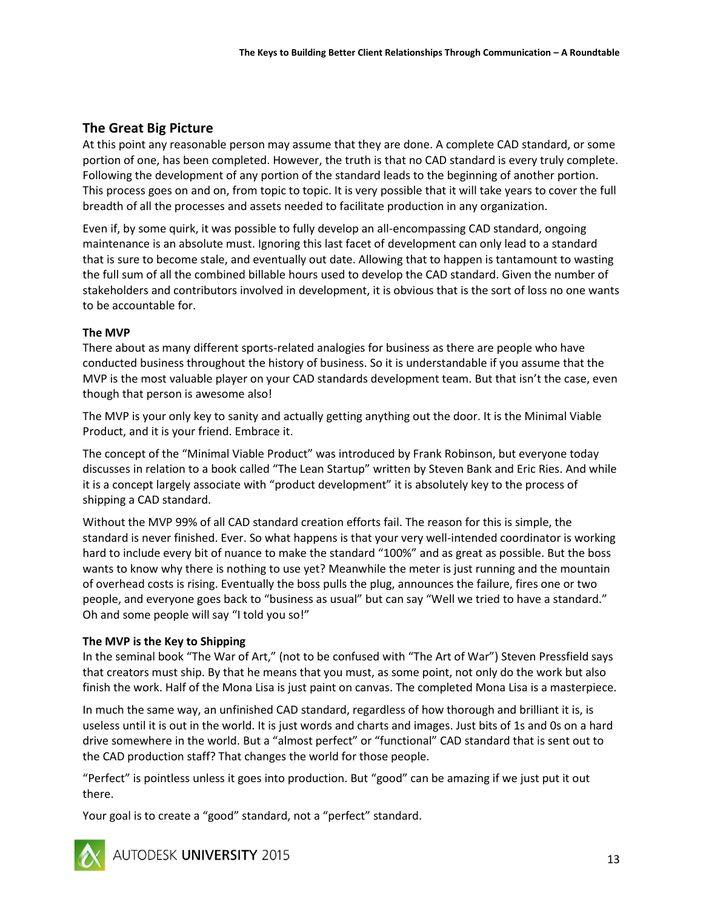# **The Great Big Picture**

At this point any reasonable person may assume that they are done. A complete CAD standard, or some portion of one, has been completed. However, the truth is that no CAD standard is every truly complete. Following the development of any portion of the standard leads to the beginning of another portion. This process goes on and on, from topic to topic. It is very possible that it will take years to cover the full breadth of all the processes and assets needed to facilitate production in any organization.

Even if, by some quirk, it was possible to fully develop an all-encompassing CAD standard, ongoing maintenance is an absolute must. Ignoring this last facet of development can only lead to a standard that is sure to become stale, and eventually out date. Allowing that to happen is tantamount to wasting the full sum of all the combined billable hours used to develop the CAD standard. Given the number of stakeholders and contributors involved in development, it is obvious that is the sort of loss no one wants to be accountable for.

#### **The MVP**

There about as many different sports-related analogies for business as there are people who have conducted business throughout the history of business. So it is understandable if you assume that the MVP is the most valuable player on your CAD standards development team. But that isn't the case, even though that person is awesome also!

The MVP is your only key to sanity and actually getting anything out the door. It is the Minimal Viable Product, and it is your friend. Embrace it.

The concept of the "Minimal Viable Product" was introduced by Frank Robinson, but everyone today discusses in relation to a book called "The Lean Startup" written by Steven Bank and Eric Ries. And while it is a concept largely associate with "product development" it is absolutely key to the process of shipping a CAD standard.

Without the MVP 99% of all CAD standard creation efforts fail. The reason for this is simple, the standard is never finished. Ever. So what happens is that your very well-intended coordinator is working hard to include every bit of nuance to make the standard "100%" and as great as possible. But the boss wants to know why there is nothing to use yet? Meanwhile the meter is just running and the mountain of overhead costs is rising. Eventually the boss pulls the plug, announces the failure, fires one or two people, and everyone goes back to "business as usual" but can say "Well we tried to have a standard." Oh and some people will say "I told you so!"

#### **The MVP is the Key to Shipping**

In the seminal book "The War of Art," (not to be confused with "The Art of War") Steven Pressfield says that creators must ship. By that he means that you must, as some point, not only do the work but also finish the work. Half of the Mona Lisa is just paint on canvas. The completed Mona Lisa is a masterpiece.

In much the same way, an unfinished CAD standard, regardless of how thorough and brilliant it is, is useless until it is out in the world. It is just words and charts and images. Just bits of 1s and 0s on a hard drive somewhere in the world. But a "almost perfect" or "functional" CAD standard that is sent out to the CAD production staff? That changes the world for those people.

"Perfect" is pointless unless it goes into production. But "good" can be amazing if we just put it out there.

Your goal is to create a "good" standard, not a "perfect" standard.



AUTODESK UNIVERSITY 2015